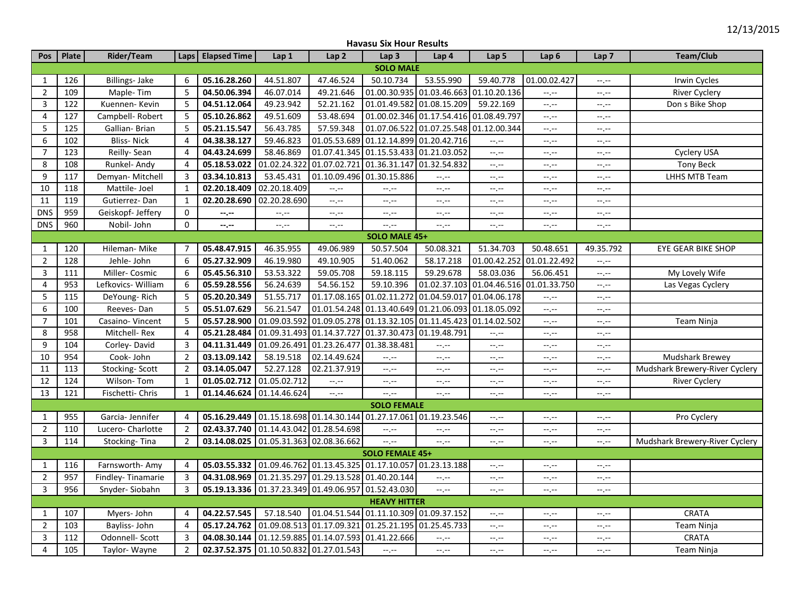| <b>Havasu Six Hour Results</b> |  |
|--------------------------------|--|
|--------------------------------|--|

| Pos                 | Plate              | Rider/Team         |                | Laps   Elapsed Time                                              | Lap 1                                      | Lap <sub>2</sub>          | Lap <sub>3</sub>                       | Lap <sub>4</sub>              | Lap 5                     | Lap <sub>6</sub>              | Lap <sub>7</sub> | <b>Team/Club</b>               |
|---------------------|--------------------|--------------------|----------------|------------------------------------------------------------------|--------------------------------------------|---------------------------|----------------------------------------|-------------------------------|---------------------------|-------------------------------|------------------|--------------------------------|
| <b>SOLO MALE</b>    |                    |                    |                |                                                                  |                                            |                           |                                        |                               |                           |                               |                  |                                |
| $\mathbf{1}$        | 126                | Billings- Jake     | 6              | 05.16.28.260                                                     | 44.51.807                                  | 47.46.524                 | 50.10.734                              | 53.55.990                     | 59.40.778                 | 01.00.02.427                  | --.--            | Irwin Cycles                   |
| $\overline{2}$      | 109                | Maple-Tim          | 5              | 04.50.06.394                                                     | 46.07.014                                  | 49.21.646                 | 01.00.30.935                           | 01.03.46.663                  | 01.10.20.136              | $-1, -1$                      | $-1, -1$         | <b>River Cyclery</b>           |
| 3                   | 122                | Kuennen-Kevin      | 5              | 04.51.12.064                                                     | 49.23.942                                  | 52.21.162                 | 01.01.49.582                           | 01.08.15.209                  | 59.22.169                 | $-1, -1$                      | $-1$ , $-1$      | Don s Bike Shop                |
| 4                   | 127                | Campbell-Robert    | 5              | 05.10.26.862                                                     | 49.51.609                                  | 53.48.694                 | 01.00.02.346 01.17.54.416 01.08.49.797 |                               |                           | $-1, -1$                      | $-1, -1$         |                                |
| 5                   | 125                | Gallian- Brian     | 5              | 05.21.15.547                                                     | 56.43.785                                  | 57.59.348                 | 01.07.06.522 01.07.25.548              |                               | 01.12.00.344              | $-1, -1$                      | --.--            |                                |
| 6                   | 102                | <b>Bliss-Nick</b>  | 4              | 04.38.38.127                                                     | 59.46.823                                  |                           | 01.05.53.689 01.12.14.899 01.20.42.716 |                               | $--, --$                  | $-1, -1$                      | $-1 - 1 - 1 = 0$ |                                |
| $\overline{7}$      | 123                | Reilly- Sean       | 4              | 04.43.24.699                                                     | 58.46.869                                  |                           | 01.07.41.345 01.15.53.433 01.21.03.052 |                               | $-1, -1$                  | $\rightarrow$ , $\rightarrow$ | $-1, -1$         | Cyclery USA                    |
| 8                   | 108                | Runkel- Andy       | 4              | 05.18.53.022                                                     | 01.02.24.322                               | 01.07.02.721              | 01.36.31.147 01.32.54.832              |                               | $-1, -1$                  | $-1, -1$                      | --.--            | <b>Tony Beck</b>               |
| 9                   | 117                | Demyan- Mitchell   | 3              | 03.34.10.813                                                     | 53.45.431                                  | 01.10.09.496 01.30.15.886 |                                        | $-1 - 1 - 1 = 0$              | $--, --$                  | $-1, -1$                      | $-1 - 1 - 1 = 0$ | <b>LHHS MTB Team</b>           |
| 10                  | 118                | Mattile-Joel       | $\mathbf{1}$   | 02.20.18.409                                                     | 02.20.18.409                               | --.--                     | --.--                                  | $-1$                          | $-1, -1$                  | $-1, -1$                      | $-1, -1$         |                                |
| 11                  | 119                | Gutierrez-Dan      | $\mathbf{1}$   | 02.20.28.690                                                     | 02.20.28.690                               | --,--                     | $-1, -1$                               | $-1, -1$                      | $-1, -1$                  | $-1, -1$                      | --.--            |                                |
| <b>DNS</b>          | 959                | Geiskopf- Jeffery  | $\mathbf 0$    | $- - - - -$                                                      | $\scriptstyle \cdots, \scriptstyle \cdots$ | $-1, -1$                  | --.--                                  | $-\gamma$ , $-\gamma$         | $-1 - 1 - 1 = 0$          | $-\mathbb{L}$                 | $-1, -1$         |                                |
| <b>DNS</b>          | 960                | Nobil- John        | $\mathbf 0$    | $- - - - -$                                                      | $-1, -1$                                   | $-1, -1$                  | $-1, -1$                               | $-1, -1$                      | $-1, -1$                  | $-1, -1$                      | $-1, -1$         |                                |
|                     |                    |                    |                |                                                                  |                                            |                           | SOLO MALE 45+                          |                               |                           |                               |                  |                                |
| 1                   | 120                | Hileman- Mike      | 7              | 05.48.47.915                                                     | 46.35.955                                  | 49.06.989                 | 50.57.504                              | 50.08.321                     | 51.34.703                 | 50.48.651                     | 49.35.792        | EYE GEAR BIKE SHOP             |
| $\overline{2}$      | 128                | Jehle- John        | 6              | 05.27.32.909                                                     | 46.19.980                                  | 49.10.905                 | 51.40.062                              | 58.17.218                     | 01.00.42.252              | 01.01.22.492                  | $-1, -1$         |                                |
| 3                   | 111                | Miller-Cosmic      | 6              | 05.45.56.310                                                     | 53.53.322                                  | 59.05.708                 | 59.18.115                              | 59.29.678                     | 58.03.036                 | 56.06.451                     | $-1, -1$         | My Lovely Wife                 |
| 4                   | $\overline{953}$   | Lefkovics- William | 6              | 05.59.28.556                                                     | 56.24.639                                  | 54.56.152                 | 59.10.396                              | 01.02.37.103                  | 01.04.46.516 01.01.33.750 |                               | $-1$ , $-1$      | Las Vegas Cyclery              |
| 5                   | 115                | DeYoung-Rich       | 5              | 05.20.20.349                                                     | 51.55.717                                  | 01.17.08.165              | 01.02.11.272                           | 01.04.59.017                  | 01.04.06.178              | $-1, -1$                      | $-1$ , $-1$      |                                |
| $6\phantom{1}6$     | 100                | Reeves-Dan         | 5              | 05.51.07.629                                                     | 56.21.547                                  | 01.01.54.248              | 01.13.40.649                           | 01.21.06.093                  | 01.18.05.092              | $-1, -1$                      | $-1$ , $-1$      |                                |
| $\overline{7}$      | 101                | Casaino-Vincent    | 5              | 05.57.28.900                                                     | 01.09.03.592                               | 01.09.05.278              | 01.13.32.105                           | 01.11.45.423                  | 01.14.02.502              | $-1, -1$                      | $-1, -1$         | Team Ninja                     |
| 8                   | 958                | Mitchell-Rex       | 4              | 05.21.28.484                                                     | 01.09.31.493                               | 01.14.37.727              | 01.37.30.473                           | 01.19.48.791                  | $-1$ , $-1$               | $-1, -1$                      | --.--            |                                |
| 9                   | 104                | Corley-David       | 3              | 04.11.31.449 01.09.26.491                                        |                                            | 01.23.26.477              | 01.38.38.481                           | $-1, -1$                      | $-1, -1$                  | $-1, -1$                      | --.--            |                                |
| 10                  | 954                | Cook- John         | $\overline{2}$ | 03.13.09.142                                                     | 58.19.518                                  | 02.14.49.624              | --.--                                  | $-\mathbb{I},-\mathbb{I}$     | $-1$ , $-1$               | $-1, -1$                      | $-1, -1$         | <b>Mudshark Brewey</b>         |
| 11                  | 113                | Stocking-Scott     | 2              | 03.14.05.047                                                     | 52.27.128                                  | 02.21.37.919              | $-1, -1$                               | $\rightarrow$ , $\rightarrow$ | $-1 - 1 - 1 = 0$          | $-1, -1$                      | $-1, -1$         | Mudshark Brewery-River Cyclery |
| 12                  | 124                | Wilson-Tom         | 1              | 01.05.02.712 01.05.02.712                                        |                                            | --.--                     | $-1, -1$                               | $-1, -1$                      | $-1, -1$                  | --.--                         | --.--            | <b>River Cyclery</b>           |
| 13                  | 121                | Fischetti- Chris   | $\mathbf{1}$   | 01.14.46.624 01.14.46.624                                        |                                            | --.--                     | --.--                                  | $-1$ , $-1$                   | $-1 - 1 - 1 = 0$          | --.--                         | $-1, -1$         |                                |
|                     | <b>SOLO FEMALE</b> |                    |                |                                                                  |                                            |                           |                                        |                               |                           |                               |                  |                                |
| $\mathbf{1}$        | 955                | Garcia- Jennifer   | 4              | 05.16.29.449 01.15.18.698 01.14.30.144 01.27.17.061 01.19.23.546 |                                            |                           |                                        |                               | $--, --$                  | $-1, -1$                      | $-1$ , $-1$      | Pro Cyclery                    |
| $\overline{2}$      | 110                | Lucero- Charlotte  | $\overline{2}$ | 02.43.37.740 01.14.43.042 01.28.54.698                           |                                            |                           | $-1, -1$                               | --.--                         | $-1 - 1 - 1 = 0$          | $\sim$ , $\sim$               | $-1, -1$         |                                |
| 3                   | 114                | Stocking-Tina      | $\overline{2}$ | 03.14.08.025                                                     | 01.05.31.363 02.08.36.662                  |                           | $-,-$                                  | $-1$ , $-1$                   | $-1 - 1 - 1 = 0$          | $-1, -1$                      | $-1$ , $-1$      | Mudshark Brewery-River Cyclery |
|                     | SOLO FEMALE 45+    |                    |                |                                                                  |                                            |                           |                                        |                               |                           |                               |                  |                                |
| $\mathbf{1}$        | 116                | Farnsworth- Amy    | 4              | 05.03.55.332 01.09.46.762 01.13.45.325 01.17.10.057 01.23.13.188 |                                            |                           |                                        |                               | $-1$ , $-1$               | $-1, -1$                      | $-1$ , $-1$      |                                |
| $\overline{2}$      | 957                | Findley-Tinamarie  | 3              | 04.31.08.969 01.21.35.297 01.29.13.528 01.40.20.144              |                                            |                           |                                        | $-1 - 1 - 1 = 0$              | $-1, -1$                  | $-1, -1$                      | --.--            |                                |
| 3                   | 956                | Snyder-Siobahn     | 3              | 05.19.13.336 01.37.23.349 01.49.06.957 01.52.43.030              |                                            |                           |                                        | $-1 - 1 - 1 = 0$              | $-1$ , $-1$               | $-1, -1$                      | --.--            |                                |
| <b>HEAVY HITTER</b> |                    |                    |                |                                                                  |                                            |                           |                                        |                               |                           |                               |                  |                                |
| $\mathbf{1}$        | 107                | Myers- John        | 4              | 04.22.57.545                                                     | 57.18.540                                  |                           | 01.04.51.544 01.11.10.309 01.09.37.152 |                               | $-1 - 1 - 1 = 0$          | $-1, -1$                      | $-1, -1$         | <b>CRATA</b>                   |
| $\overline{2}$      | 103                | Bayliss-John       | 4              | 05.17.24.762 01.09.08.513                                        |                                            |                           | 01.17.09.321 01.25.21.195              | 01.25.45.733                  | $--, --$                  | $-1, -1$                      | $-1$ , $-1$      | Team Ninja                     |
| 3                   | 112                | Odonnell- Scott    | 3              | 04.08.30.144 01.12.59.885 01.14.07.593 01.41.22.666              |                                            |                           |                                        | --,--                         | $-1 - 1 - 1 = 0$          | --.--                         | $-1, -1$         | CRATA                          |
| $\overline{4}$      | 105                | Taylor-Wayne       | $\overline{2}$ | 02.37.52.375 01.10.50.832 01.27.01.543                           |                                            |                           | $-1, -1$                               | $-1, -1$                      | $-1 - 1 - 1 = 0$          | $-\gamma$ , $-\gamma$         | $-1 - 1 - 1 = 0$ | Team Ninja                     |